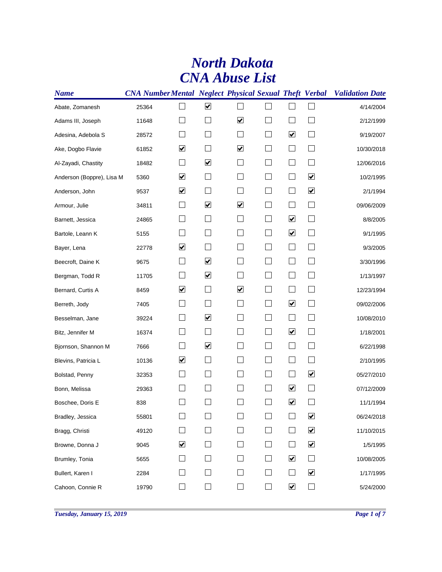## *CNA Abuse List North Dakota*

| <b>Name</b>               |       |   |                         |                         |                             |                             | <b>CNA Number Mental Neglect Physical Sexual Theft Verbal Validation Date</b> |
|---------------------------|-------|---|-------------------------|-------------------------|-----------------------------|-----------------------------|-------------------------------------------------------------------------------|
| Abate, Zomanesh           | 25364 |   | $\blacktriangledown$    |                         |                             |                             | 4/14/2004                                                                     |
| Adams III, Joseph         | 11648 |   |                         | $\blacktriangledown$    |                             |                             | 2/12/1999                                                                     |
| Adesina, Adebola S        | 28572 |   |                         |                         | $\blacktriangledown$        | $\vert \ \ \vert$           | 9/19/2007                                                                     |
| Ake, Dogbo Flavie         | 61852 | ☑ |                         | ⊻                       |                             | ×.                          | 10/30/2018                                                                    |
| Al-Zayadi, Chastity       | 18482 |   | $\blacktriangledown$    |                         |                             |                             | 12/06/2016                                                                    |
| Anderson (Boppre), Lisa M | 5360  | ☑ |                         |                         | $\mathcal{L}_{\mathcal{A}}$ | $\blacktriangledown$        | 10/2/1995                                                                     |
| Anderson, John            | 9537  | ☑ |                         |                         | $\mathbf{L}$                | $\blacktriangledown$        | 2/1/1994                                                                      |
| Armour, Julie             | 34811 |   | $\blacktriangledown$    | $\overline{\mathbf{v}}$ |                             |                             | 09/06/2009                                                                    |
| Barnett, Jessica          | 24865 |   |                         |                         | $\blacktriangledown$        |                             | 8/8/2005                                                                      |
| Bartole, Leann K          | 5155  |   |                         |                         | $\blacktriangledown$        | $\mathbf{L}$                | 9/1/1995                                                                      |
| Bayer, Lena               | 22778 | ☑ |                         |                         | $\mathcal{L}_{\mathcal{A}}$ | $\Box$                      | 9/3/2005                                                                      |
| Beecroft, Daine K         | 9675  |   | $\blacktriangledown$    |                         | $\mathcal{L}_{\mathcal{A}}$ | $\vert \ \ \vert$           | 3/30/1996                                                                     |
| Bergman, Todd R           | 11705 |   | $\blacktriangledown$    |                         | $\Box$                      | $\Box$                      | 1/13/1997                                                                     |
| Bernard, Curtis A         | 8459  | ☑ |                         | $\overline{\mathbf{v}}$ | $\overline{\phantom{a}}$    | $\mathcal{L}_{\mathcal{A}}$ | 12/23/1994                                                                    |
| Berreth, Jody             | 7405  |   |                         |                         | $\blacktriangledown$        | $\vert \ \ \vert$           | 09/02/2006                                                                    |
| Besselman, Jane           | 39224 |   | $\blacktriangledown$    |                         | $\overline{\phantom{0}}$    |                             | 10/08/2010                                                                    |
| Bitz, Jennifer M          | 16374 |   |                         |                         | $\blacktriangledown$        | $\vert \ \ \vert$           | 1/18/2001                                                                     |
| Bjornson, Shannon M       | 7666  |   | $\overline{\mathbf{v}}$ |                         | $\Box$                      | $\Box$                      | 6/22/1998                                                                     |
| Blevins, Patricia L       | 10136 | ☑ |                         |                         | $\overline{\phantom{a}}$    | $\vert \ \ \vert$           | 2/10/1995                                                                     |
| Bolstad, Penny            | 32353 |   |                         |                         | $\overline{\phantom{a}}$    | $\blacktriangledown$        | 05/27/2010                                                                    |
| Bonn, Melissa             | 29363 |   |                         |                         | $\blacktriangledown$        | $\overline{\phantom{0}}$    | 07/12/2009                                                                    |
| Boschee, Doris E          | 838   |   |                         |                         | $\blacktriangledown$        |                             | 11/1/1994                                                                     |
| Bradley, Jessica          | 55801 |   |                         |                         |                             | $\blacktriangledown$        | 06/24/2018                                                                    |
| Bragg, Christi            | 49120 |   |                         |                         |                             | $\blacktriangledown$        | 11/10/2015                                                                    |
| Browne, Donna J           | 9045  | ⊻ |                         |                         | $\mathbf{I}$                | $\blacktriangledown$        | 1/5/1995                                                                      |
| Brumley, Tonia            | 5655  |   |                         |                         | $\blacktriangledown$        | $\mathcal{L}_{\mathcal{A}}$ | 10/08/2005                                                                    |
| Bullert, Karen I          | 2284  |   |                         |                         | $\mathbf{L}$                | $\blacktriangledown$        | 1/17/1995                                                                     |
| Cahoon, Connie R          | 19790 |   |                         |                         | $\blacktriangledown$        | $\Box$                      | 5/24/2000                                                                     |
|                           |       |   |                         |                         |                             |                             |                                                                               |

*Tuesday, January 15, 2019 Page 1 of 7*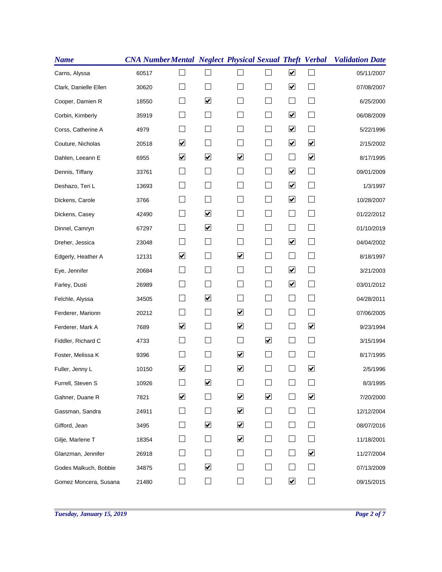| <b>Name</b>           |       |                          |                      |                              |                              |                             |                      | <b>CNA NumberMental Neglect Physical Sexual Theft Verbal Validation Date</b> |
|-----------------------|-------|--------------------------|----------------------|------------------------------|------------------------------|-----------------------------|----------------------|------------------------------------------------------------------------------|
| Carns, Alyssa         | 60517 |                          |                      |                              |                              | $\blacktriangledown$        |                      | 05/11/2007                                                                   |
| Clark, Danielle Ellen | 30620 |                          |                      |                              |                              | $\blacktriangledown$        | $\Box$               | 07/08/2007                                                                   |
| Cooper, Damien R      | 18550 |                          | $\blacktriangledown$ |                              |                              |                             |                      | 6/25/2000                                                                    |
| Corbin, Kimberly      | 35919 |                          |                      |                              | $\mathbf{I}$                 | $\blacktriangledown$        | $\mathbf{L}$         | 06/08/2009                                                                   |
| Corss, Catherine A    | 4979  |                          |                      |                              |                              | $\blacktriangledown$        |                      | 5/22/1996                                                                    |
| Couture, Nicholas     | 20518 | ☑                        | $\sim$               |                              | $\mathcal{L}$                | $\blacktriangledown$        | $\blacktriangledown$ | 2/15/2002                                                                    |
| Dahlen, Leeann E      | 6955  | ☑                        | $\blacktriangledown$ | $\blacktriangledown$         |                              |                             | $\blacktriangledown$ | 8/17/1995                                                                    |
| Dennis, Tiffany       | 33761 |                          |                      |                              |                              | $\blacktriangledown$        | $\vert \ \ \vert$    | 09/01/2009                                                                   |
| Deshazo, Teri L       | 13693 |                          |                      |                              | $\overline{\phantom{0}}$     | $\blacktriangledown$        | $\Box$               | 1/3/1997                                                                     |
| Dickens, Carole       | 3766  |                          |                      |                              |                              | $\blacktriangledown$        | $\vert \ \ \vert$    | 10/28/2007                                                                   |
| Dickens, Casey        | 42490 |                          | $\blacktriangledown$ |                              |                              |                             |                      | 01/22/2012                                                                   |
| Dinnel, Camryn        | 67297 |                          | $\blacktriangledown$ |                              | $\mathbf{I}$                 | $\mathbb{R}^n$              | $\mathbf{I}$         | 01/10/2019                                                                   |
| Dreher, Jessica       | 23048 |                          |                      |                              |                              | $\blacktriangledown$        | $\Box$               | 04/04/2002                                                                   |
| Edgerly, Heather A    | 12131 | ☑                        | $\sim$               | ☑                            | $\mathcal{L}$                | $\mathcal{L}_{\mathcal{A}}$ | $\vert \ \ \vert$    | 8/18/1997                                                                    |
| Eye, Jennifer         | 20684 |                          |                      |                              |                              | $\blacktriangledown$        |                      | 3/21/2003                                                                    |
| Farley, Dusti         | 26989 |                          |                      |                              |                              | $\blacktriangledown$        | $\Box$               | 03/01/2012                                                                   |
| Felchle, Alyssa       | 34505 |                          | $\blacktriangledown$ | $\sim$                       | $\blacksquare$               | $\Box$                      | $\Box$               | 04/28/2011                                                                   |
| Ferderer, Marionn     | 20212 |                          |                      | $\overline{\mathbf{v}}$      | $\blacksquare$               | $\Box$                      | ⊔                    | 07/06/2005                                                                   |
| Ferderer, Mark A      | 7689  | ☑                        |                      | $\boxed{\blacktriangledown}$ |                              |                             | $\blacktriangledown$ | 9/23/1994                                                                    |
| Fiddler, Richard C    | 4733  |                          |                      | $\overline{\phantom{a}}$     | $\boxed{\blacktriangledown}$ | $\mathbb{R}^n$              | $\Box$               | 3/15/1994                                                                    |
| Foster, Melissa K     | 9396  |                          |                      | $\overline{\mathbf{v}}$      | $\overline{\phantom{a}}$     | $\Box$                      | $\Box$               | 8/17/1995                                                                    |
| Fuller, Jenny L       | 10150 | ☑                        |                      | $\blacktriangledown$         |                              |                             | $\blacktriangledown$ | 2/5/1996                                                                     |
| Furrell, Steven S     | 10926 |                          | $\blacktriangledown$ |                              |                              |                             |                      | 8/3/1995                                                                     |
| Gahner, Duane R       | 7821  | ☑                        |                      | $\blacktriangledown$         | $\blacktriangledown$         | $\mathbf{I}$                | $\blacktriangledown$ | 7/20/2000                                                                    |
| Gassman, Sandra       | 24911 | $\overline{\phantom{0}}$ |                      | $\blacktriangledown$         | $\overline{\phantom{0}}$     | $\vert \ \ \vert$           | $\vert \ \ \vert$    | 12/12/2004                                                                   |
| Gifford, Jean         | 3495  |                          | $\blacktriangledown$ | $\blacktriangledown$         |                              | $\vert \ \ \vert$           |                      | 08/07/2016                                                                   |
| Gilje, Marlene T      | 18354 |                          |                      | $\blacktriangledown$         |                              | $\vert \ \ \vert$           |                      | 11/18/2001                                                                   |
| Glanzman, Jennifer    | 26918 |                          |                      |                              |                              | $\mathbf{I}$                | $\blacktriangledown$ | 11/27/2004                                                                   |
| Godes Malkuch, Bobbie | 34875 | $\mathcal{L}$            | $\blacktriangledown$ |                              |                              | $\mathbf{I}$                | $\vert \ \ \vert$    | 07/13/2009                                                                   |
| Gomez Moncera, Susana | 21480 |                          |                      |                              |                              | $\blacktriangledown$        | ×.                   | 09/15/2015                                                                   |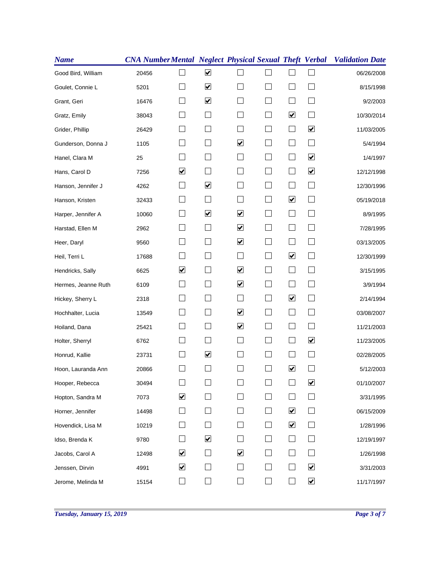| <b>Name</b>         |       |                              |                      |                                 |                          |                             |                                 | <b>CNA NumberMental Neglect Physical Sexual Theft Verbal Validation Date</b> |
|---------------------|-------|------------------------------|----------------------|---------------------------------|--------------------------|-----------------------------|---------------------------------|------------------------------------------------------------------------------|
| Good Bird, William  | 20456 |                              | $\blacktriangledown$ |                                 |                          |                             |                                 | 06/26/2008                                                                   |
| Goulet, Connie L    | 5201  |                              | $\blacktriangledown$ |                                 |                          |                             | $\mathbf{L}$                    | 8/15/1998                                                                    |
| Grant, Geri         | 16476 |                              | $\blacktriangledown$ |                                 |                          |                             |                                 | 9/2/2003                                                                     |
| Gratz, Emily        | 38043 |                              |                      |                                 | $\blacksquare$           | $\blacktriangledown$        | $\overline{\phantom{a}}$        | 10/30/2014                                                                   |
| Grider, Phillip     | 26429 |                              |                      |                                 |                          |                             | $\blacktriangledown$            | 11/03/2005                                                                   |
| Gunderson, Donna J  | 1105  |                              | $\sim$               | $\blacktriangledown$            |                          | $\mathbb{R}^n$              | $\Box$                          | 5/4/1994                                                                     |
| Hanel, Clara M      | 25    |                              |                      |                                 |                          | $\sim$                      | $\blacktriangledown$            | 1/4/1997                                                                     |
| Hans, Carol D       | 7256  | ☑                            |                      |                                 |                          | $\mathbf{I}$                | $\blacktriangledown$            | 12/12/1998                                                                   |
| Hanson, Jennifer J  | 4262  |                              | $\blacktriangledown$ |                                 | $\mathcal{L}$            | L.                          | $\mathcal{L}_{\mathcal{A}}$     | 12/30/1996                                                                   |
| Hanson, Kristen     | 32433 |                              |                      |                                 |                          | $\blacktriangledown$        | $\vert \ \ \vert$               | 05/19/2018                                                                   |
| Harper, Jennifer A  | 10060 |                              | $\blacktriangledown$ | $\boxed{\blacktriangledown}$    |                          |                             |                                 | 8/9/1995                                                                     |
| Harstad, Ellen M    | 2962  |                              |                      | $\boxed{\blacktriangledown}$    | $\blacksquare$           | $\mathbb{R}^n$              | $\mathbf{L}$                    | 7/28/1995                                                                    |
| Heer, Daryl         | 9560  |                              |                      | $\boxed{\blacktriangledown}$    |                          |                             | $\Box$                          | 03/13/2005                                                                   |
| Heil, Terri L       | 17688 |                              |                      |                                 |                          | $\blacktriangledown$        | $\vert \ \ \vert$               | 12/30/1999                                                                   |
| Hendricks, Sally    | 6625  | ☑                            |                      | ☑                               |                          | $\overline{\phantom{0}}$    |                                 | 3/15/1995                                                                    |
| Hermes, Jeanne Ruth | 6109  |                              |                      | $\overline{\blacktriangledown}$ |                          | $\Box$                      | $\vert \ \ \vert$               | 3/9/1994                                                                     |
| Hickey, Sherry L    | 2318  |                              |                      | $\vert \ \ \vert$               | $\blacksquare$           | $\blacktriangledown$        | ⊔                               | 2/14/1994                                                                    |
| Hochhalter, Lucia   | 13549 |                              |                      | $\overline{\mathbf{v}}$         |                          | $\Box$                      | $\Box$                          | 03/08/2007                                                                   |
| Hoiland, Dana       | 25421 |                              |                      | $\boxed{\blacktriangledown}$    |                          | $\overline{\phantom{0}}$    |                                 | 11/21/2003                                                                   |
| Holter, Sherryl     | 6762  |                              |                      |                                 | $\mathbf{I}$             | $\mathbb{R}^n$              | $\overline{\blacktriangledown}$ | 11/23/2005                                                                   |
| Honrud, Kallie      | 23731 |                              | $\blacktriangledown$ |                                 |                          | $\overline{\phantom{a}}$    | $\Box$                          | 02/28/2005                                                                   |
| Hoon, Lauranda Ann  | 20866 |                              |                      |                                 |                          | $\blacktriangledown$        |                                 | 5/12/2003                                                                    |
| Hooper, Rebecca     | 30494 |                              |                      |                                 |                          |                             | $\blacktriangledown$            | 01/10/2007                                                                   |
| Hopton, Sandra M    | 7073  | $\blacktriangledown$         |                      |                                 |                          | $\overline{\phantom{0}}$    | $\overline{\phantom{a}}$        | 3/31/1995                                                                    |
| Horner, Jennifer    | 14498 | $\mathbb{R}^n$               |                      |                                 | $\overline{\phantom{0}}$ | $\blacktriangledown$        | $\vert \ \ \vert$               | 06/15/2009                                                                   |
| Hovendick, Lisa M   | 10219 |                              |                      |                                 |                          | $\blacktriangleright$       |                                 | 1/28/1996                                                                    |
| Idso, Brenda K      | 9780  |                              | $\blacktriangledown$ |                                 |                          | $\mathcal{L}_{\mathcal{A}}$ |                                 | 12/19/1997                                                                   |
| Jacobs, Carol A     | 12498 | ☑                            |                      | $\blacktriangledown$            |                          | $\mathbf{I}$                |                                 | 1/26/1998                                                                    |
| Jenssen, Dirvin     | 4991  | $\boxed{\blacktriangledown}$ |                      |                                 |                          | $\Box$                      | $\blacktriangledown$            | 3/31/2003                                                                    |
| Jerome, Melinda M   | 15154 |                              |                      |                                 |                          | $\mathbb{R}$                | $\blacktriangledown$            | 11/17/1997                                                                   |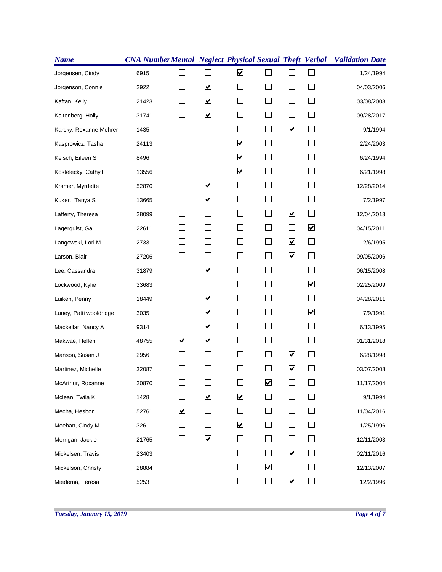| <b>Name</b>             |       |   |                      |                         |                      |                             |                          | <b>CNA Number Mental Neglect Physical Sexual Theft Verbal Validation Date</b> |
|-------------------------|-------|---|----------------------|-------------------------|----------------------|-----------------------------|--------------------------|-------------------------------------------------------------------------------|
| Jorgensen, Cindy        | 6915  |   |                      | $\blacktriangledown$    |                      |                             |                          | 1/24/1994                                                                     |
| Jorgenson, Connie       | 2922  |   | $\blacktriangledown$ |                         |                      |                             | $\mathbf{L}$             | 04/03/2006                                                                    |
| Kaftan, Kelly           | 21423 |   | $\blacktriangledown$ |                         |                      |                             |                          | 03/08/2003                                                                    |
| Kaltenberg, Holly       | 31741 |   | $\blacktriangledown$ |                         | $\blacksquare$       | $\mathcal{L}_{\mathcal{A}}$ | $\overline{\phantom{a}}$ | 09/28/2017                                                                    |
| Karsky, Roxanne Mehrer  | 1435  |   |                      |                         |                      | $\blacktriangledown$        |                          | 9/1/1994                                                                      |
| Kasprowicz, Tasha       | 24113 |   | $\sim$               | $\blacktriangledown$    | $\mathbf{I}$         | $\mathbb{R}^n$              | $\vert \ \ \vert$        | 2/24/2003                                                                     |
| Kelsch, Eileen S        | 8496  |   |                      | $\blacktriangledown$    |                      |                             |                          | 6/24/1994                                                                     |
| Kostelecky, Cathy F     | 13556 |   |                      | $\blacktriangledown$    |                      | $\mathbb{R}$                |                          | 6/21/1998                                                                     |
| Kramer, Myrdette        | 52870 |   | $\blacktriangledown$ |                         | $\mathcal{L}$        |                             | <b>College</b>           | 12/28/2014                                                                    |
| Kukert, Tanya S         | 13665 |   | $\blacktriangledown$ |                         |                      | L.                          | $\overline{\phantom{a}}$ | 7/2/1997                                                                      |
| Lafferty, Theresa       | 28099 |   |                      |                         |                      | $\blacktriangledown$        |                          | 12/04/2013                                                                    |
| Lagerquist, Gail        | 22611 |   |                      |                         | $\mathbf{I}$         | $\mathbf{L}$                | $\blacktriangledown$     | 04/15/2011                                                                    |
| Langowski, Lori M       | 2733  |   |                      |                         |                      | $\blacktriangledown$        | $\Box$                   | 2/6/1995                                                                      |
| Larson, Blair           | 27206 |   |                      |                         | $\mathcal{L}$        | $\blacktriangledown$        | $\vert \ \ \vert$        | 09/05/2006                                                                    |
| Lee, Cassandra          | 31879 |   | $\blacktriangledown$ |                         |                      | $\overline{\phantom{0}}$    |                          | 06/15/2008                                                                    |
| Lockwood, Kylie         | 33683 |   | $\sim$               |                         |                      | $\mathbb{R}^n$              | $\blacktriangledown$     | 02/25/2009                                                                    |
| Luiken, Penny           | 18449 |   | $\blacktriangledown$ |                         | $\blacksquare$       | $\mathbb{R}^n$              | $\Box$                   | 04/28/2011                                                                    |
| Luney, Patti wooldridge | 3035  |   | $\blacktriangledown$ |                         | $\mathbf{I}$         | $\Box$                      | $\overline{\mathbf{v}}$  | 7/9/1991                                                                      |
| Mackellar, Nancy A      | 9314  |   | $\blacktriangledown$ |                         |                      |                             | $\mathbb{R}^n$           | 6/13/1995                                                                     |
| Makwae, Hellen          | 48755 | ☑ | $\blacktriangledown$ |                         | $\mathbf{I}$         | $\mathbb{R}^n$              | $\vert \ \ \vert$        | 01/31/2018                                                                    |
| Manson, Susan J         | 2956  |   | $\mathcal{L}$        |                         | $\blacksquare$       | $\blacktriangledown$        | $\Box$                   | 6/28/1998                                                                     |
| Martinez, Michelle      | 32087 |   |                      |                         |                      | $\blacktriangledown$        |                          | 03/07/2008                                                                    |
| McArthur, Roxanne       | 20870 |   |                      |                         | $\blacktriangledown$ |                             |                          | 11/17/2004                                                                    |
| Mclean, Twila K         | 1428  |   | $\blacktriangledown$ | $\blacktriangledown$    |                      | $\sim$                      |                          | 9/1/1994                                                                      |
| Mecha, Hesbon           | 52761 | ☑ | $\blacksquare$       |                         | $\blacksquare$       | $\vert \ \ \vert$           |                          | 11/04/2016                                                                    |
| Meehan, Cindy M         | 326   |   |                      | $\overline{\mathbf{v}}$ |                      | $\vert$                     |                          | 1/25/1996                                                                     |
| Merrigan, Jackie        | 21765 |   | $\blacktriangledown$ |                         |                      | $\Box$                      |                          | 12/11/2003                                                                    |
| Mickelsen, Travis       | 23403 |   |                      |                         |                      | $\blacktriangledown$        |                          | 02/11/2016                                                                    |
| Mickelson, Christy      | 28884 |   |                      |                         | $\blacktriangledown$ | $\mathbf{L}$                |                          | 12/13/2007                                                                    |
| Miedema, Teresa         | 5253  |   |                      |                         | $\vert \ \ \vert$    | $\blacktriangledown$        |                          | 12/2/1996                                                                     |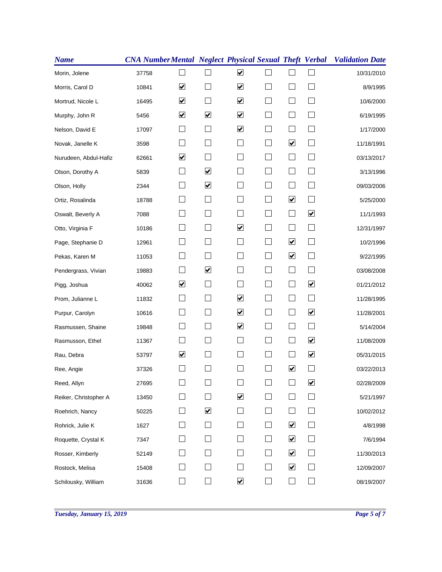| <b>Name</b>           |       |                              |                      |                              |                |                             |                                 | <b>CNA Number Mental Neglect Physical Sexual Theft Verbal Validation Date</b> |
|-----------------------|-------|------------------------------|----------------------|------------------------------|----------------|-----------------------------|---------------------------------|-------------------------------------------------------------------------------|
| Morin, Jolene         | 37758 |                              |                      | $\blacktriangledown$         |                |                             |                                 | 10/31/2010                                                                    |
| Morris, Carol D       | 10841 | ☑                            |                      | $\blacktriangledown$         |                |                             | $\mathbf{L}$                    | 8/9/1995                                                                      |
| Mortrud, Nicole L     | 16495 | $\boxed{\blacktriangledown}$ |                      | $\overline{\mathbf{v}}$      |                |                             |                                 | 10/6/2000                                                                     |
| Murphy, John R        | 5456  | ☑                            | $\blacktriangledown$ | $\blacktriangledown$         | $\blacksquare$ | $\Box$                      | $\mathbf{L}$                    | 6/19/1995                                                                     |
| Nelson, David E       | 17097 |                              |                      | $\blacktriangledown$         |                |                             | $\mathbf{L}$                    | 1/17/2000                                                                     |
| Novak, Janelle K      | 3598  |                              | $\sim$               |                              | $\mathcal{L}$  | $\blacktriangledown$        | $\vert \ \ \vert$               | 11/18/1991                                                                    |
| Nurudeen, Abdul-Hafiz | 62661 | ☑                            |                      |                              |                | $\sim$                      |                                 | 03/13/2017                                                                    |
| Olson, Dorothy A      | 5839  |                              | $\blacktriangledown$ |                              |                | $\overline{\phantom{0}}$    |                                 | 3/13/1996                                                                     |
| Olson, Holly          | 2344  |                              | $\blacktriangledown$ |                              | $\mathcal{L}$  | L.                          | $\mathcal{L}_{\mathcal{A}}$     | 09/03/2006                                                                    |
| Ortiz, Rosalinda      | 18788 |                              |                      |                              |                | $\blacktriangledown$        | $\vert \ \ \vert$               | 5/25/2000                                                                     |
| Oswalt, Beverly A     | 7088  |                              |                      |                              |                |                             | $\blacktriangledown$            | 11/1/1993                                                                     |
| Otto, Virginia F      | 10186 |                              |                      | $\boxed{\blacktriangledown}$ | $\blacksquare$ | $\mathbb{R}^n$              | $\mathbb{R}^n$                  | 12/31/1997                                                                    |
| Page, Stephanie D     | 12961 |                              |                      |                              |                | $\blacktriangledown$        | $\Box$                          | 10/2/1996                                                                     |
| Pekas, Karen M        | 11053 |                              | $\sim$               |                              | $\mathcal{L}$  | $\blacktriangledown$        | $\vert \ \ \vert$               | 9/22/1995                                                                     |
| Pendergrass, Vivian   | 19883 |                              | $\blacktriangledown$ |                              |                | $\overline{\phantom{0}}$    |                                 | 03/08/2008                                                                    |
| Pigg, Joshua          | 40062 | ☑                            |                      |                              |                | $\Box$                      | $\blacktriangledown$            | 01/21/2012                                                                    |
| Prom, Julianne L      | 11832 |                              |                      | ☑                            | $\blacksquare$ | $\overline{\phantom{a}}$    | $\Box$                          | 11/28/1995                                                                    |
| Purpur, Carolyn       | 10616 |                              |                      | $\overline{\mathbf{v}}$      | $\mathbf{I}$   | $\Box$                      | $\overline{\mathbf{v}}$         | 11/28/2001                                                                    |
| Rasmussen, Shaine     | 19848 |                              |                      | $\boxed{\blacktriangledown}$ |                | $\overline{\phantom{0}}$    | $\Box$                          | 5/14/2004                                                                     |
| Rasmusson, Ethel      | 11367 |                              |                      | ×.                           | $\mathbf{I}$   | $\mathbb{R}^n$              | $\overline{\blacktriangledown}$ | 11/08/2009                                                                    |
| Rau, Debra            | 53797 | ☑                            | $\Box$               | $\vert \ \ \vert$            |                | $\Box$                      | $\blacktriangledown$            | 05/31/2015                                                                    |
| Ree, Angie            | 37326 |                              |                      |                              |                | $\blacktriangledown$        | $\overline{\phantom{a}}$        | 03/22/2013                                                                    |
| Reed, Allyn           | 27695 |                              |                      |                              |                |                             | $\blacktriangledown$            | 02/28/2009                                                                    |
| Reiker, Christopher A | 13450 |                              |                      | $\blacktriangledown$         |                | $\overline{\phantom{0}}$    | $\mathbf{I}$                    | 5/21/1997                                                                     |
| Roehrich, Nancy       | 50225 | $\overline{\phantom{0}}$     | $\blacktriangledown$ |                              |                | $\mathbf{I}$                | $\vert \ \ \vert$               | 10/02/2012                                                                    |
| Rohrick, Julie K      | 1627  |                              |                      |                              |                | $\blacktriangledown$        |                                 | 4/8/1998                                                                      |
| Roquette, Crystal K   | 7347  |                              |                      |                              |                | $\blacktriangledown$        |                                 | 7/6/1994                                                                      |
| Rosser, Kimberly      | 52149 |                              |                      |                              |                | $\blacktriangledown$        |                                 | 11/30/2013                                                                    |
| Rostock, Melisa       | 15408 |                              |                      |                              |                | $\blacktriangledown$        | $\overline{\phantom{0}}$        | 12/09/2007                                                                    |
| Schilousky, William   | 31636 |                              |                      | $\boxed{\blacktriangledown}$ |                | $\mathcal{L}_{\mathcal{A}}$ | ×.                              | 08/19/2007                                                                    |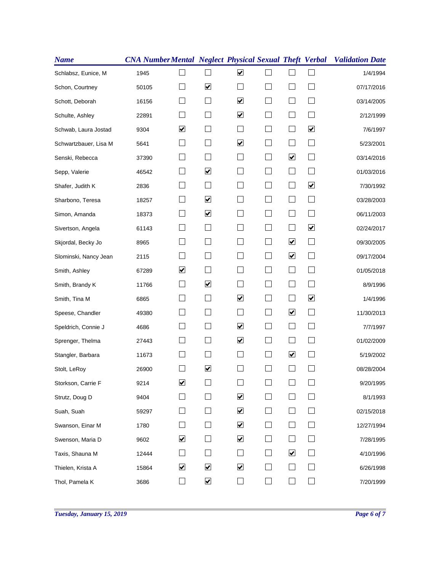| <b>Name</b>           |       |                          |                         |                         |                          |                             |                          | <b>CNA Number Mental Neglect Physical Sexual Theft Verbal Validation Date</b> |
|-----------------------|-------|--------------------------|-------------------------|-------------------------|--------------------------|-----------------------------|--------------------------|-------------------------------------------------------------------------------|
| Schlabsz, Eunice, M   | 1945  |                          |                         | $\overline{\mathbf{v}}$ |                          |                             | $\Box$                   | 1/4/1994                                                                      |
| Schon, Courtney       | 50105 |                          | $\blacktriangledown$    |                         |                          |                             | $\Box$                   | 07/17/2016                                                                    |
| Schott, Deborah       | 16156 |                          |                         | $\blacktriangledown$    |                          |                             |                          | 03/14/2005                                                                    |
| Schulte, Ashley       | 22891 |                          |                         | $\blacktriangledown$    |                          | $\overline{\phantom{0}}$    | $\mathbf{I}$             | 2/12/1999                                                                     |
| Schwab, Laura Jostad  | 9304  | ☑                        |                         |                         |                          |                             | $\blacktriangledown$     | 7/6/1997                                                                      |
| Schwartzbauer, Lisa M | 5641  |                          | $\vert \ \ \vert$       | $\blacktriangledown$    | $\blacksquare$           |                             | $\vert \ \ \vert$        | 5/23/2001                                                                     |
| Senski, Rebecca       | 37390 |                          |                         |                         |                          | $\blacktriangledown$        | $\overline{\phantom{a}}$ | 03/14/2016                                                                    |
| Sepp, Valerie         | 46542 |                          | $\blacktriangledown$    |                         |                          |                             |                          | 01/03/2016                                                                    |
| Shafer, Judith K      | 2836  |                          |                         |                         | $\blacksquare$           |                             | $\blacktriangledown$     | 7/30/1992                                                                     |
| Sharbono, Teresa      | 18257 |                          | $\blacktriangledown$    |                         |                          | $\overline{\phantom{0}}$    | $\vert \ \ \vert$        | 03/28/2003                                                                    |
| Simon, Amanda         | 18373 |                          | $\blacktriangledown$    |                         |                          |                             |                          | 06/11/2003                                                                    |
| Sivertson, Angela     | 61143 |                          |                         |                         |                          | $\mathcal{L}_{\mathcal{A}}$ | $\blacktriangledown$     | 02/24/2017                                                                    |
| Skjordal, Becky Jo    | 8965  |                          |                         |                         |                          | $\blacktriangledown$        | ⊔                        | 09/30/2005                                                                    |
| Slominski, Nancy Jean | 2115  |                          |                         |                         | $\overline{\phantom{0}}$ | $\blacktriangledown$        | $\mathbf{I}$             | 09/17/2004                                                                    |
| Smith, Ashley         | 67289 | ☑                        |                         |                         |                          |                             | $\vert \ \ \vert$        | 01/05/2018                                                                    |
| Smith, Brandy K       | 11766 |                          | $\overline{\mathbf{v}}$ |                         |                          | $\sim$                      | $\mathbf{I}$             | 8/9/1996                                                                      |
| Smith, Tina M         | 6865  |                          |                         | ☑                       | $\mathcal{L}$            |                             | $\overline{\mathbf{v}}$  | 1/4/1996                                                                      |
| Speese, Chandler      | 49380 |                          | $\Box$                  |                         | $\mathcal{L}$            | $\blacktriangledown$        | $\Box$                   | 11/30/2013                                                                    |
| Speldrich, Connie J   | 4686  |                          |                         | $\overline{\mathbf{v}}$ |                          |                             |                          | 7/7/1997                                                                      |
| Sprenger, Thelma      | 27443 |                          |                         | $\blacktriangledown$    |                          | $\sim$                      | $\mathbf{I}$             | 01/02/2009                                                                    |
| Stangler, Barbara     | 11673 |                          |                         |                         |                          | $\blacktriangledown$        | $\Box$                   | 5/19/2002                                                                     |
| Stolt, LeRoy          | 26900 |                          | $\blacktriangledown$    |                         |                          |                             |                          | 08/28/2004                                                                    |
| Storkson, Carrie F    | 9214  | $\blacktriangledown$     |                         |                         |                          |                             |                          | 9/20/1995                                                                     |
| Strutz, Doug D        | 9404  |                          |                         | $\blacktriangledown$    |                          |                             |                          | 8/1/1993                                                                      |
| Suah, Suah            | 59297 |                          |                         | $\blacktriangledown$    |                          |                             |                          | 02/15/2018                                                                    |
| Swanson, Einar M      | 1780  | $\overline{\phantom{a}}$ |                         | ⊻                       |                          | $\mathbb{R}^n$              |                          | 12/27/1994                                                                    |
| Swenson, Maria D      | 9602  | ☑                        |                         | $\blacktriangledown$    |                          |                             |                          | 7/28/1995                                                                     |
| Taxis, Shauna M       | 12444 |                          |                         |                         |                          | $\blacktriangledown$        |                          | 4/10/1996                                                                     |
| Thielen, Krista A     | 15864 | ☑                        | $\blacktriangledown$    | $\blacktriangledown$    |                          |                             |                          | 6/26/1998                                                                     |
| Thol, Pamela K        | 3686  | $\Box$                   | $\blacktriangledown$    | $\blacksquare$          |                          |                             | $\mathcal{L}$            | 7/20/1999                                                                     |